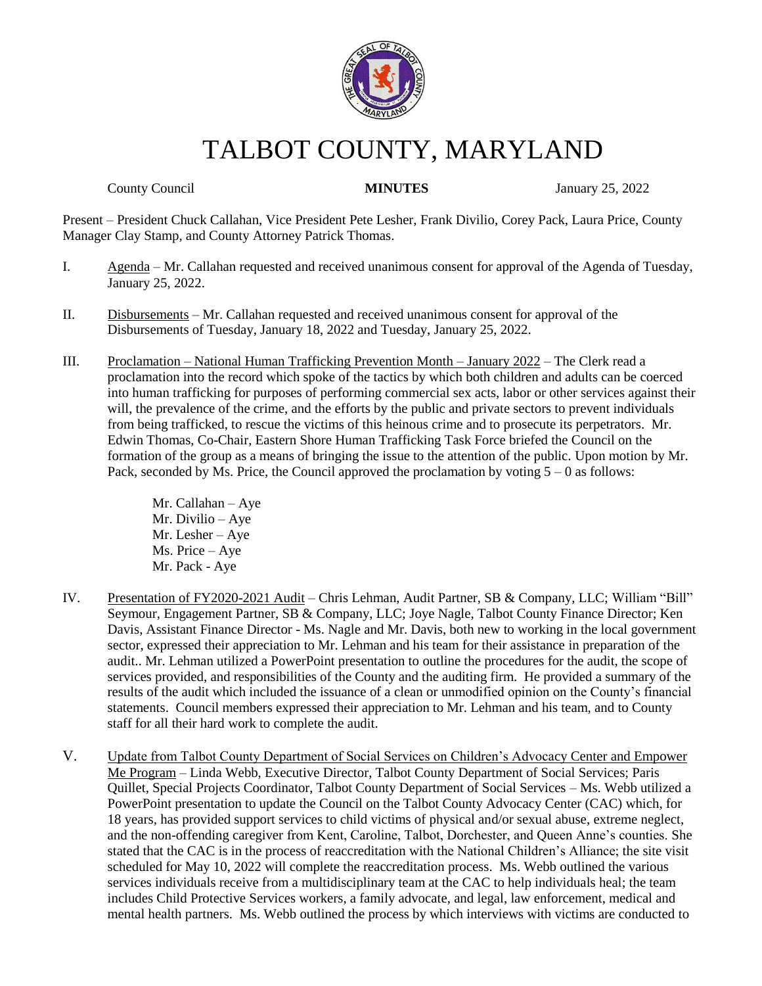

# TALBOT COUNTY, MARYLAND

County Council **MINUTES** January 25, 2022

Present – President Chuck Callahan, Vice President Pete Lesher, Frank Divilio, Corey Pack, Laura Price, County Manager Clay Stamp, and County Attorney Patrick Thomas.

- I. Agenda Mr. Callahan requested and received unanimous consent for approval of the Agenda of Tuesday, January 25, 2022.
- II. Disbursements Mr. Callahan requested and received unanimous consent for approval of the Disbursements of Tuesday, January 18, 2022 and Tuesday, January 25, 2022.
- III. Proclamation National Human Trafficking Prevention Month January 2022 The Clerk read a proclamation into the record which spoke of the tactics by which both children and adults can be coerced into human trafficking for purposes of performing commercial sex acts, labor or other services against their will, the prevalence of the crime, and the efforts by the public and private sectors to prevent individuals from being trafficked, to rescue the victims of this heinous crime and to prosecute its perpetrators. Mr. Edwin Thomas, Co-Chair, Eastern Shore Human Trafficking Task Force briefed the Council on the formation of the group as a means of bringing the issue to the attention of the public. Upon motion by Mr. Pack, seconded by Ms. Price, the Council approved the proclamation by voting  $5 - 0$  as follows:

Mr. Callahan – Aye Mr. Divilio – Aye Mr. Lesher – Aye Ms. Price – Aye Mr. Pack - Aye

- IV. Presentation of FY2020-2021 Audit Chris Lehman, Audit Partner, SB & Company, LLC; William "Bill" Seymour, Engagement Partner, SB & Company, LLC; Joye Nagle, Talbot County Finance Director; Ken Davis, Assistant Finance Director - Ms. Nagle and Mr. Davis, both new to working in the local government sector, expressed their appreciation to Mr. Lehman and his team for their assistance in preparation of the audit.. Mr. Lehman utilized a PowerPoint presentation to outline the procedures for the audit, the scope of services provided, and responsibilities of the County and the auditing firm. He provided a summary of the results of the audit which included the issuance of a clean or unmodified opinion on the County's financial statements. Council members expressed their appreciation to Mr. Lehman and his team, and to County staff for all their hard work to complete the audit.
- V. Update from Talbot County Department of Social Services on Children's Advocacy Center and Empower Me Program – Linda Webb, Executive Director, Talbot County Department of Social Services; Paris Quillet, Special Projects Coordinator, Talbot County Department of Social Services – Ms. Webb utilized a PowerPoint presentation to update the Council on the Talbot County Advocacy Center (CAC) which, for 18 years, has provided support services to child victims of physical and/or sexual abuse, extreme neglect, and the non-offending caregiver from Kent, Caroline, Talbot, Dorchester, and Queen Anne's counties. She stated that the CAC is in the process of reaccreditation with the National Children's Alliance; the site visit scheduled for May 10, 2022 will complete the reaccreditation process. Ms. Webb outlined the various services individuals receive from a multidisciplinary team at the CAC to help individuals heal; the team includes Child Protective Services workers, a family advocate, and legal, law enforcement, medical and mental health partners. Ms. Webb outlined the process by which interviews with victims are conducted to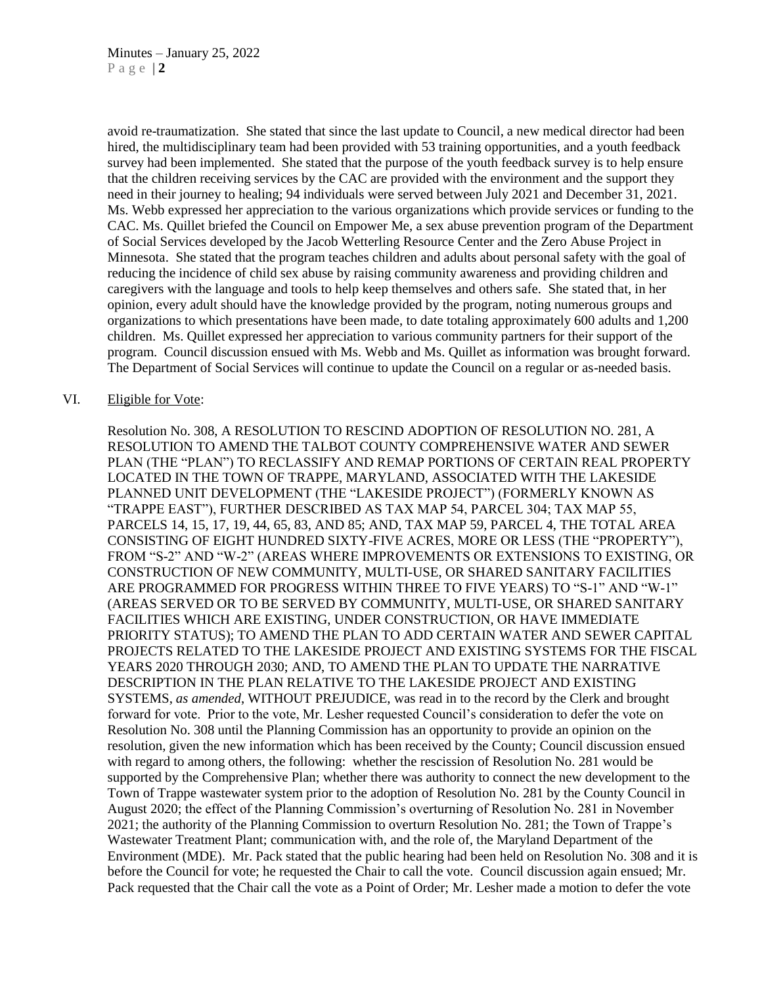avoid re-traumatization. She stated that since the last update to Council, a new medical director had been hired, the multidisciplinary team had been provided with 53 training opportunities, and a youth feedback survey had been implemented. She stated that the purpose of the youth feedback survey is to help ensure that the children receiving services by the CAC are provided with the environment and the support they need in their journey to healing; 94 individuals were served between July 2021 and December 31, 2021. Ms. Webb expressed her appreciation to the various organizations which provide services or funding to the CAC. Ms. Quillet briefed the Council on Empower Me, a sex abuse prevention program of the Department of Social Services developed by the Jacob Wetterling Resource Center and the Zero Abuse Project in Minnesota. She stated that the program teaches children and adults about personal safety with the goal of reducing the incidence of child sex abuse by raising community awareness and providing children and caregivers with the language and tools to help keep themselves and others safe. She stated that, in her opinion, every adult should have the knowledge provided by the program, noting numerous groups and organizations to which presentations have been made, to date totaling approximately 600 adults and 1,200 children. Ms. Quillet expressed her appreciation to various community partners for their support of the program. Council discussion ensued with Ms. Webb and Ms. Quillet as information was brought forward. The Department of Social Services will continue to update the Council on a regular or as-needed basis.

#### VI. Eligible for Vote:

Resolution No. 308, A RESOLUTION TO RESCIND ADOPTION OF RESOLUTION NO. 281, A RESOLUTION TO AMEND THE TALBOT COUNTY COMPREHENSIVE WATER AND SEWER PLAN (THE "PLAN") TO RECLASSIFY AND REMAP PORTIONS OF CERTAIN REAL PROPERTY LOCATED IN THE TOWN OF TRAPPE, MARYLAND, ASSOCIATED WITH THE LAKESIDE PLANNED UNIT DEVELOPMENT (THE "LAKESIDE PROJECT") (FORMERLY KNOWN AS "TRAPPE EAST"), FURTHER DESCRIBED AS TAX MAP 54, PARCEL 304; TAX MAP 55, PARCELS 14, 15, 17, 19, 44, 65, 83, AND 85; AND, TAX MAP 59, PARCEL 4, THE TOTAL AREA CONSISTING OF EIGHT HUNDRED SIXTY-FIVE ACRES, MORE OR LESS (THE "PROPERTY"), FROM "S-2" AND "W-2" (AREAS WHERE IMPROVEMENTS OR EXTENSIONS TO EXISTING, OR CONSTRUCTION OF NEW COMMUNITY, MULTI-USE, OR SHARED SANITARY FACILITIES ARE PROGRAMMED FOR PROGRESS WITHIN THREE TO FIVE YEARS) TO "S-1" AND "W-1" (AREAS SERVED OR TO BE SERVED BY COMMUNITY, MULTI-USE, OR SHARED SANITARY FACILITIES WHICH ARE EXISTING, UNDER CONSTRUCTION, OR HAVE IMMEDIATE PRIORITY STATUS); TO AMEND THE PLAN TO ADD CERTAIN WATER AND SEWER CAPITAL PROJECTS RELATED TO THE LAKESIDE PROJECT AND EXISTING SYSTEMS FOR THE FISCAL YEARS 2020 THROUGH 2030; AND, TO AMEND THE PLAN TO UPDATE THE NARRATIVE DESCRIPTION IN THE PLAN RELATIVE TO THE LAKESIDE PROJECT AND EXISTING SYSTEMS, *as amended*, WITHOUT PREJUDICE, was read in to the record by the Clerk and brought forward for vote. Prior to the vote, Mr. Lesher requested Council's consideration to defer the vote on Resolution No. 308 until the Planning Commission has an opportunity to provide an opinion on the resolution, given the new information which has been received by the County; Council discussion ensued with regard to among others, the following: whether the rescission of Resolution No. 281 would be supported by the Comprehensive Plan; whether there was authority to connect the new development to the Town of Trappe wastewater system prior to the adoption of Resolution No. 281 by the County Council in August 2020; the effect of the Planning Commission's overturning of Resolution No. 281 in November 2021; the authority of the Planning Commission to overturn Resolution No. 281; the Town of Trappe's Wastewater Treatment Plant; communication with, and the role of, the Maryland Department of the Environment (MDE). Mr. Pack stated that the public hearing had been held on Resolution No. 308 and it is before the Council for vote; he requested the Chair to call the vote. Council discussion again ensued; Mr. Pack requested that the Chair call the vote as a Point of Order; Mr. Lesher made a motion to defer the vote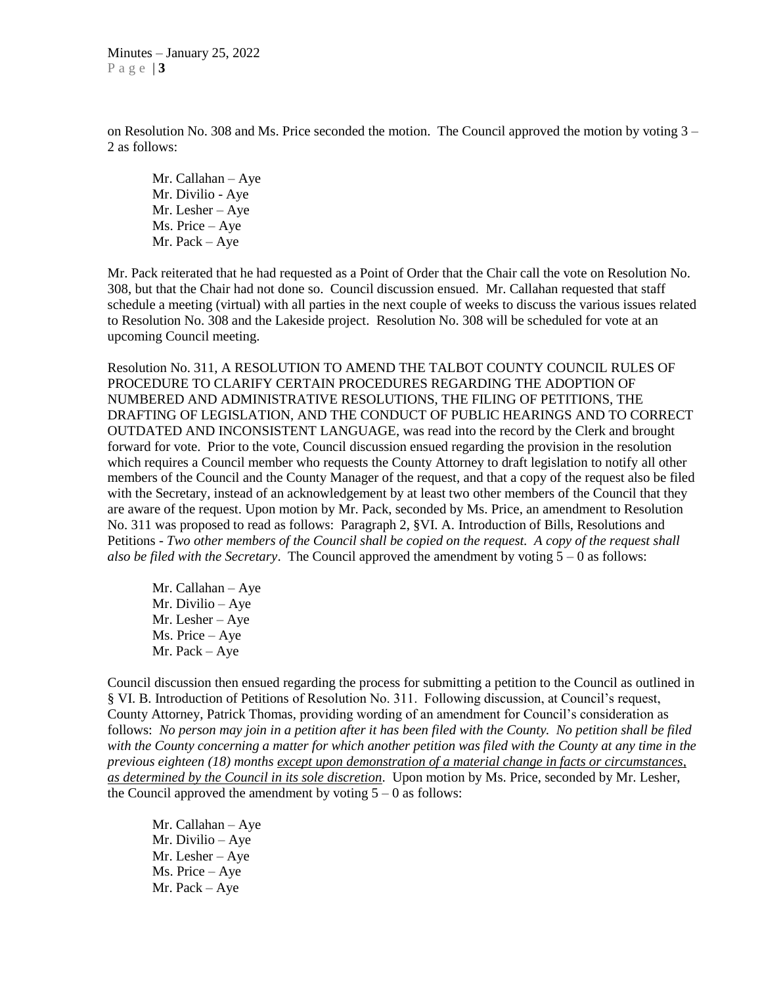Minutes – January 25, 2022 P a g e | **3**

on Resolution No. 308 and Ms. Price seconded the motion. The Council approved the motion by voting 3 – 2 as follows:

Mr. Callahan – Aye Mr. Divilio - Aye Mr. Lesher – Aye Ms. Price – Aye Mr. Pack – Aye

Mr. Pack reiterated that he had requested as a Point of Order that the Chair call the vote on Resolution No. 308, but that the Chair had not done so. Council discussion ensued. Mr. Callahan requested that staff schedule a meeting (virtual) with all parties in the next couple of weeks to discuss the various issues related to Resolution No. 308 and the Lakeside project. Resolution No. 308 will be scheduled for vote at an upcoming Council meeting.

Resolution No. 311, A RESOLUTION TO AMEND THE TALBOT COUNTY COUNCIL RULES OF PROCEDURE TO CLARIFY CERTAIN PROCEDURES REGARDING THE ADOPTION OF NUMBERED AND ADMINISTRATIVE RESOLUTIONS, THE FILING OF PETITIONS, THE DRAFTING OF LEGISLATION, AND THE CONDUCT OF PUBLIC HEARINGS AND TO CORRECT OUTDATED AND INCONSISTENT LANGUAGE, was read into the record by the Clerk and brought forward for vote. Prior to the vote, Council discussion ensued regarding the provision in the resolution which requires a Council member who requests the County Attorney to draft legislation to notify all other members of the Council and the County Manager of the request, and that a copy of the request also be filed with the Secretary, instead of an acknowledgement by at least two other members of the Council that they are aware of the request. Upon motion by Mr. Pack, seconded by Ms. Price, an amendment to Resolution No. 311 was proposed to read as follows: Paragraph 2, §VI. A. Introduction of Bills, Resolutions and Petitions - *Two other members of the Council shall be copied on the request. A copy of the request shall also be filed with the Secretary*. The Council approved the amendment by voting 5 – 0 as follows:

Mr. Callahan – Aye Mr. Divilio – Aye Mr. Lesher – Aye Ms. Price – Aye Mr. Pack – Aye

Council discussion then ensued regarding the process for submitting a petition to the Council as outlined in § VI. B. Introduction of Petitions of Resolution No. 311. Following discussion, at Council's request, County Attorney, Patrick Thomas, providing wording of an amendment for Council's consideration as follows: *No person may join in a petition after it has been filed with the County. No petition shall be filed with the County concerning a matter for which another petition was filed with the County at any time in the previous eighteen (18) months except upon demonstration of a material change in facts or circumstances, as determined by the Council in its sole discretion*. Upon motion by Ms. Price, seconded by Mr. Lesher, the Council approved the amendment by voting  $5 - 0$  as follows:

Mr. Callahan – Aye Mr. Divilio – Aye Mr. Lesher – Aye Ms. Price – Aye Mr. Pack – Aye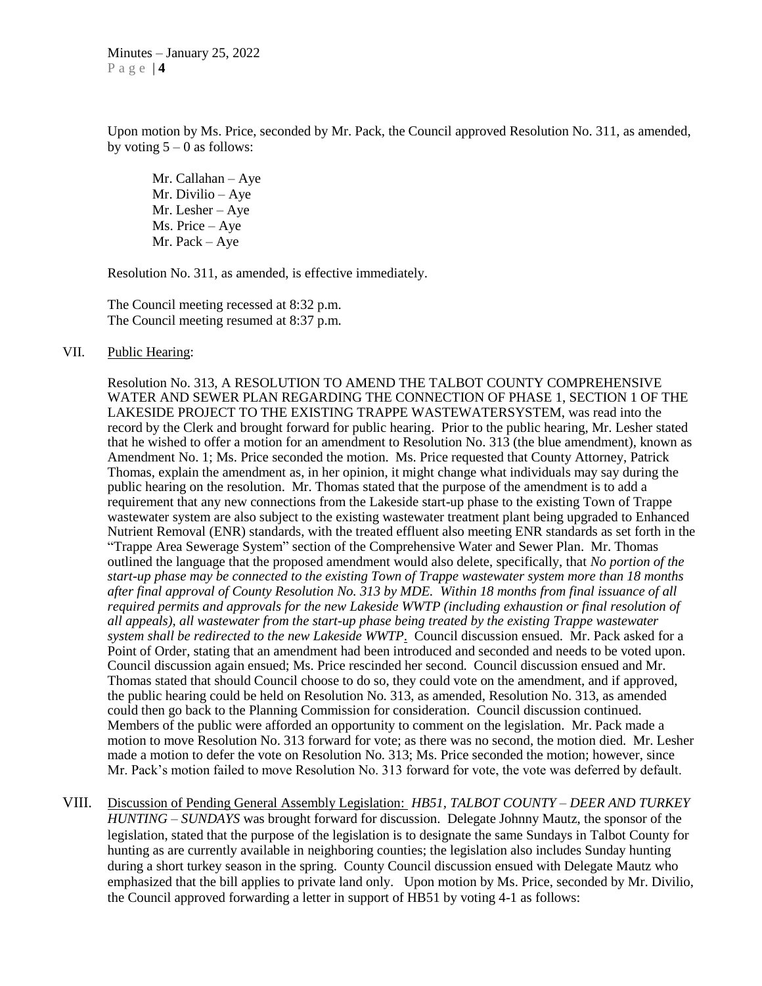Upon motion by Ms. Price, seconded by Mr. Pack, the Council approved Resolution No. 311, as amended, by voting  $5 - 0$  as follows:

Mr. Callahan – Aye Mr. Divilio – Aye Mr. Lesher – Aye Ms. Price – Aye Mr. Pack – Aye

Resolution No. 311, as amended, is effective immediately.

The Council meeting recessed at 8:32 p.m. The Council meeting resumed at 8:37 p.m.

#### VII. Public Hearing:

Resolution No. 313, A RESOLUTION TO AMEND THE TALBOT COUNTY COMPREHENSIVE WATER AND SEWER PLAN REGARDING THE CONNECTION OF PHASE 1, SECTION 1 OF THE LAKESIDE PROJECT TO THE EXISTING TRAPPE WASTEWATERSYSTEM, was read into the record by the Clerk and brought forward for public hearing. Prior to the public hearing, Mr. Lesher stated that he wished to offer a motion for an amendment to Resolution No. 313 (the blue amendment), known as Amendment No. 1; Ms. Price seconded the motion. Ms. Price requested that County Attorney, Patrick Thomas, explain the amendment as, in her opinion, it might change what individuals may say during the public hearing on the resolution. Mr. Thomas stated that the purpose of the amendment is to add a requirement that any new connections from the Lakeside start-up phase to the existing Town of Trappe wastewater system are also subject to the existing wastewater treatment plant being upgraded to Enhanced Nutrient Removal (ENR) standards, with the treated effluent also meeting ENR standards as set forth in the "Trappe Area Sewerage System" section of the Comprehensive Water and Sewer Plan. Mr. Thomas outlined the language that the proposed amendment would also delete, specifically, that *No portion of the start-up phase may be connected to the existing Town of Trappe wastewater system more than 18 months after final approval of County Resolution No. 313 by MDE. Within 18 months from final issuance of all required permits and approvals for the new Lakeside WWTP (including exhaustion or final resolution of all appeals), all wastewater from the start-up phase being treated by the existing Trappe wastewater system shall be redirected to the new Lakeside WWTP*. Council discussion ensued. Mr. Pack asked for a Point of Order, stating that an amendment had been introduced and seconded and needs to be voted upon. Council discussion again ensued; Ms. Price rescinded her second. Council discussion ensued and Mr. Thomas stated that should Council choose to do so, they could vote on the amendment, and if approved, the public hearing could be held on Resolution No. 313, as amended, Resolution No. 313, as amended could then go back to the Planning Commission for consideration. Council discussion continued. Members of the public were afforded an opportunity to comment on the legislation. Mr. Pack made a motion to move Resolution No. 313 forward for vote; as there was no second, the motion died. Mr. Lesher made a motion to defer the vote on Resolution No. 313; Ms. Price seconded the motion; however, since Mr. Pack's motion failed to move Resolution No. 313 forward for vote, the vote was deferred by default.

VIII. Discussion of Pending General Assembly Legislation: *HB51, TALBOT COUNTY – DEER AND TURKEY HUNTING – SUNDAYS* was brought forward for discussion. Delegate Johnny Mautz, the sponsor of the legislation, stated that the purpose of the legislation is to designate the same Sundays in Talbot County for hunting as are currently available in neighboring counties; the legislation also includes Sunday hunting during a short turkey season in the spring. County Council discussion ensued with Delegate Mautz who emphasized that the bill applies to private land only. Upon motion by Ms. Price, seconded by Mr. Divilio, the Council approved forwarding a letter in support of HB51 by voting 4-1 as follows: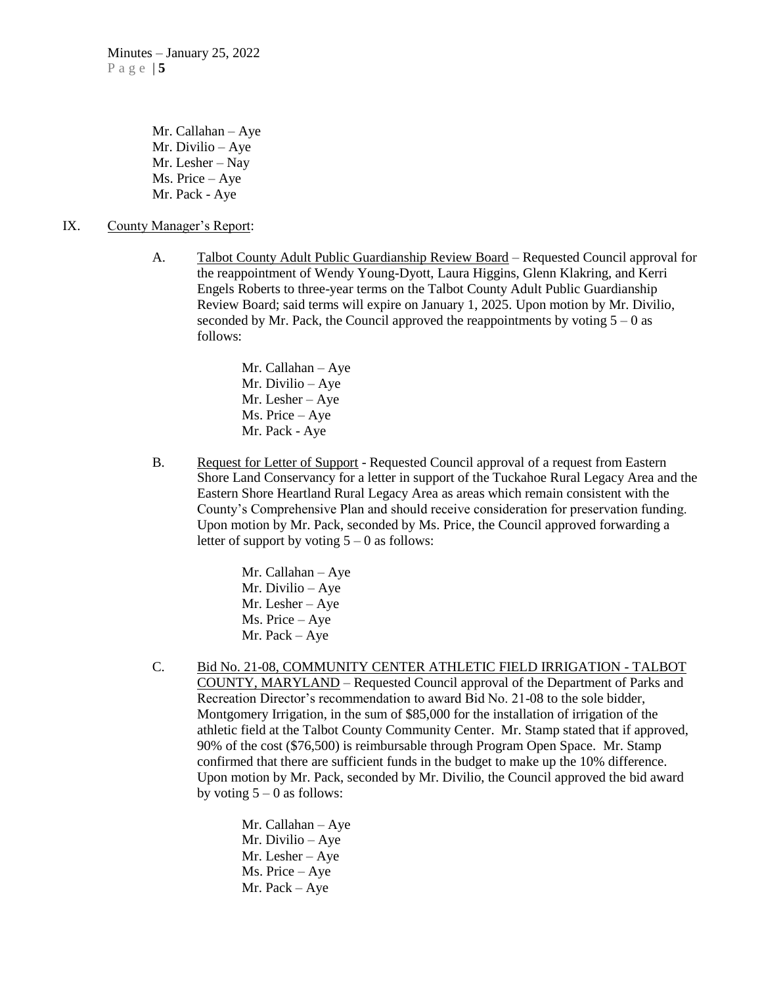Mr. Callahan – Aye Mr. Divilio – Aye Mr. Lesher – Nay Ms. Price – Aye Mr. Pack - Aye

- IX. County Manager's Report:
	- A. Talbot County Adult Public Guardianship Review Board Requested Council approval for the reappointment of Wendy Young-Dyott, Laura Higgins, Glenn Klakring, and Kerri Engels Roberts to three-year terms on the Talbot County Adult Public Guardianship Review Board; said terms will expire on January 1, 2025. Upon motion by Mr. Divilio, seconded by Mr. Pack, the Council approved the reappointments by voting  $5 - 0$  as follows:

Mr. Callahan – Aye Mr. Divilio – Aye Mr. Lesher – Aye Ms. Price – Aye Mr. Pack - Aye

B. Request for Letter of Support - Requested Council approval of a request from Eastern Shore Land Conservancy for a letter in support of the Tuckahoe Rural Legacy Area and the Eastern Shore Heartland Rural Legacy Area as areas which remain consistent with the County's Comprehensive Plan and should receive consideration for preservation funding. Upon motion by Mr. Pack, seconded by Ms. Price, the Council approved forwarding a letter of support by voting  $5 - 0$  as follows:

> Mr. Callahan – Aye Mr. Divilio – Aye Mr. Lesher – Aye Ms. Price – Aye Mr. Pack – Aye

C. Bid No. 21-08, COMMUNITY CENTER ATHLETIC FIELD IRRIGATION - TALBOT COUNTY, MARYLAND – Requested Council approval of the Department of Parks and Recreation Director's recommendation to award Bid No. 21-08 to the sole bidder, Montgomery Irrigation, in the sum of \$85,000 for the installation of irrigation of the athletic field at the Talbot County Community Center. Mr. Stamp stated that if approved, 90% of the cost (\$76,500) is reimbursable through Program Open Space. Mr. Stamp confirmed that there are sufficient funds in the budget to make up the 10% difference. Upon motion by Mr. Pack, seconded by Mr. Divilio, the Council approved the bid award by voting  $5 - 0$  as follows:

> Mr. Callahan – Aye Mr. Divilio – Aye Mr. Lesher – Aye Ms. Price – Aye Mr. Pack – Aye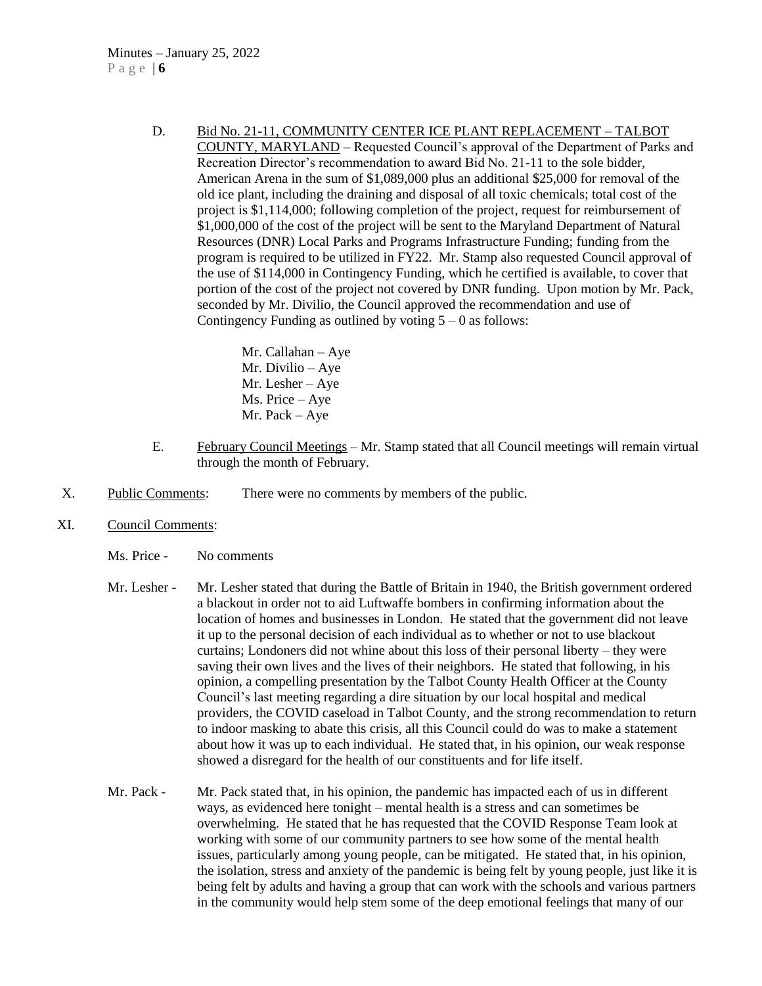D. Bid No. 21-11, COMMUNITY CENTER ICE PLANT REPLACEMENT – TALBOT COUNTY, MARYLAND – Requested Council's approval of the Department of Parks and Recreation Director's recommendation to award Bid No. 21-11 to the sole bidder, American Arena in the sum of \$1,089,000 plus an additional \$25,000 for removal of the old ice plant, including the draining and disposal of all toxic chemicals; total cost of the project is \$1,114,000; following completion of the project, request for reimbursement of \$1,000,000 of the cost of the project will be sent to the Maryland Department of Natural Resources (DNR) Local Parks and Programs Infrastructure Funding; funding from the program is required to be utilized in FY22. Mr. Stamp also requested Council approval of the use of \$114,000 in Contingency Funding, which he certified is available, to cover that portion of the cost of the project not covered by DNR funding. Upon motion by Mr. Pack, seconded by Mr. Divilio, the Council approved the recommendation and use of Contingency Funding as outlined by voting  $5 - 0$  as follows:

> Mr. Callahan – Aye Mr. Divilio – Aye Mr. Lesher – Aye Ms. Price – Aye Mr. Pack – Aye

- E. February Council Meetings Mr. Stamp stated that all Council meetings will remain virtual through the month of February.
- X. Public Comments: There were no comments by members of the public.
- XI. Council Comments:
	- Ms. Price No comments
	- Mr. Lesher Mr. Lesher stated that during the Battle of Britain in 1940, the British government ordered a blackout in order not to aid Luftwaffe bombers in confirming information about the location of homes and businesses in London. He stated that the government did not leave it up to the personal decision of each individual as to whether or not to use blackout curtains; Londoners did not whine about this loss of their personal liberty – they were saving their own lives and the lives of their neighbors. He stated that following, in his opinion, a compelling presentation by the Talbot County Health Officer at the County Council's last meeting regarding a dire situation by our local hospital and medical providers, the COVID caseload in Talbot County, and the strong recommendation to return to indoor masking to abate this crisis, all this Council could do was to make a statement about how it was up to each individual. He stated that, in his opinion, our weak response showed a disregard for the health of our constituents and for life itself.
	- Mr. Pack Mr. Pack stated that, in his opinion, the pandemic has impacted each of us in different ways, as evidenced here tonight – mental health is a stress and can sometimes be overwhelming. He stated that he has requested that the COVID Response Team look at working with some of our community partners to see how some of the mental health issues, particularly among young people, can be mitigated. He stated that, in his opinion, the isolation, stress and anxiety of the pandemic is being felt by young people, just like it is being felt by adults and having a group that can work with the schools and various partners in the community would help stem some of the deep emotional feelings that many of our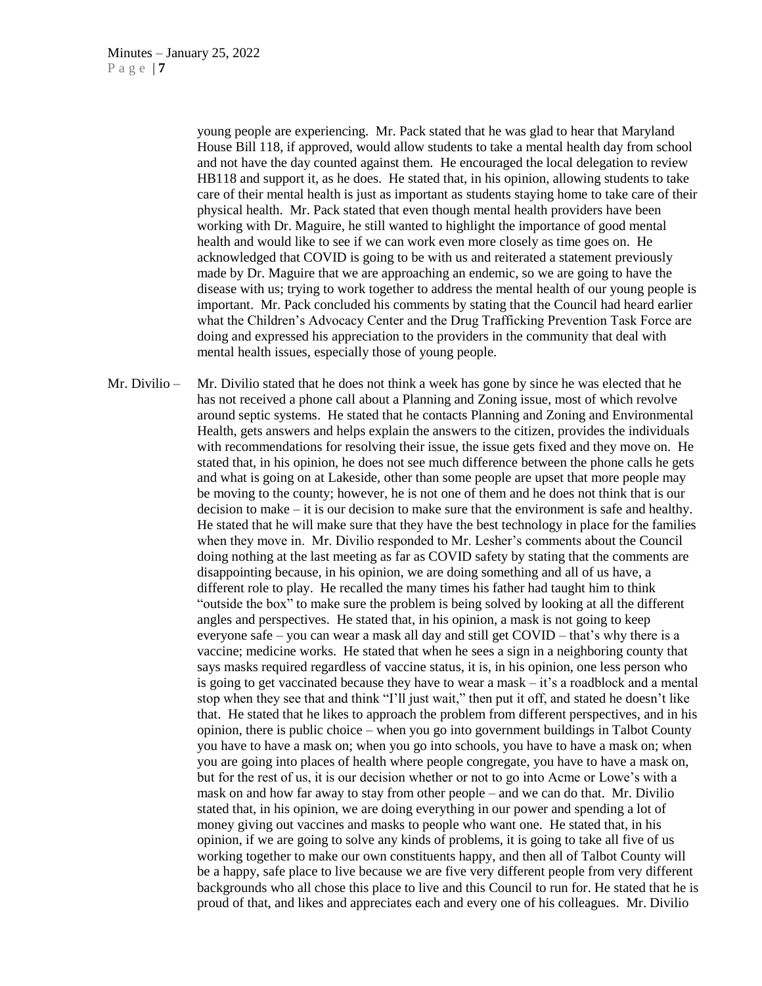young people are experiencing. Mr. Pack stated that he was glad to hear that Maryland House Bill 118, if approved, would allow students to take a mental health day from school and not have the day counted against them. He encouraged the local delegation to review HB118 and support it, as he does. He stated that, in his opinion, allowing students to take care of their mental health is just as important as students staying home to take care of their physical health. Mr. Pack stated that even though mental health providers have been working with Dr. Maguire, he still wanted to highlight the importance of good mental health and would like to see if we can work even more closely as time goes on. He acknowledged that COVID is going to be with us and reiterated a statement previously made by Dr. Maguire that we are approaching an endemic, so we are going to have the disease with us; trying to work together to address the mental health of our young people is important. Mr. Pack concluded his comments by stating that the Council had heard earlier what the Children's Advocacy Center and the Drug Trafficking Prevention Task Force are doing and expressed his appreciation to the providers in the community that deal with mental health issues, especially those of young people.

Mr. Divilio – Mr. Divilio stated that he does not think a week has gone by since he was elected that he has not received a phone call about a Planning and Zoning issue, most of which revolve around septic systems. He stated that he contacts Planning and Zoning and Environmental Health, gets answers and helps explain the answers to the citizen, provides the individuals with recommendations for resolving their issue, the issue gets fixed and they move on. He stated that, in his opinion, he does not see much difference between the phone calls he gets and what is going on at Lakeside, other than some people are upset that more people may be moving to the county; however, he is not one of them and he does not think that is our decision to make – it is our decision to make sure that the environment is safe and healthy. He stated that he will make sure that they have the best technology in place for the families when they move in. Mr. Divilio responded to Mr. Lesher's comments about the Council doing nothing at the last meeting as far as COVID safety by stating that the comments are disappointing because, in his opinion, we are doing something and all of us have, a different role to play. He recalled the many times his father had taught him to think "outside the box" to make sure the problem is being solved by looking at all the different angles and perspectives. He stated that, in his opinion, a mask is not going to keep everyone safe – you can wear a mask all day and still get COVID – that's why there is a vaccine; medicine works. He stated that when he sees a sign in a neighboring county that says masks required regardless of vaccine status, it is, in his opinion, one less person who is going to get vaccinated because they have to wear a mask – it's a roadblock and a mental stop when they see that and think "I'll just wait," then put it off, and stated he doesn't like that. He stated that he likes to approach the problem from different perspectives, and in his opinion, there is public choice – when you go into government buildings in Talbot County you have to have a mask on; when you go into schools, you have to have a mask on; when you are going into places of health where people congregate, you have to have a mask on, but for the rest of us, it is our decision whether or not to go into Acme or Lowe's with a mask on and how far away to stay from other people – and we can do that. Mr. Divilio stated that, in his opinion, we are doing everything in our power and spending a lot of money giving out vaccines and masks to people who want one. He stated that, in his opinion, if we are going to solve any kinds of problems, it is going to take all five of us working together to make our own constituents happy, and then all of Talbot County will be a happy, safe place to live because we are five very different people from very different backgrounds who all chose this place to live and this Council to run for. He stated that he is proud of that, and likes and appreciates each and every one of his colleagues. Mr. Divilio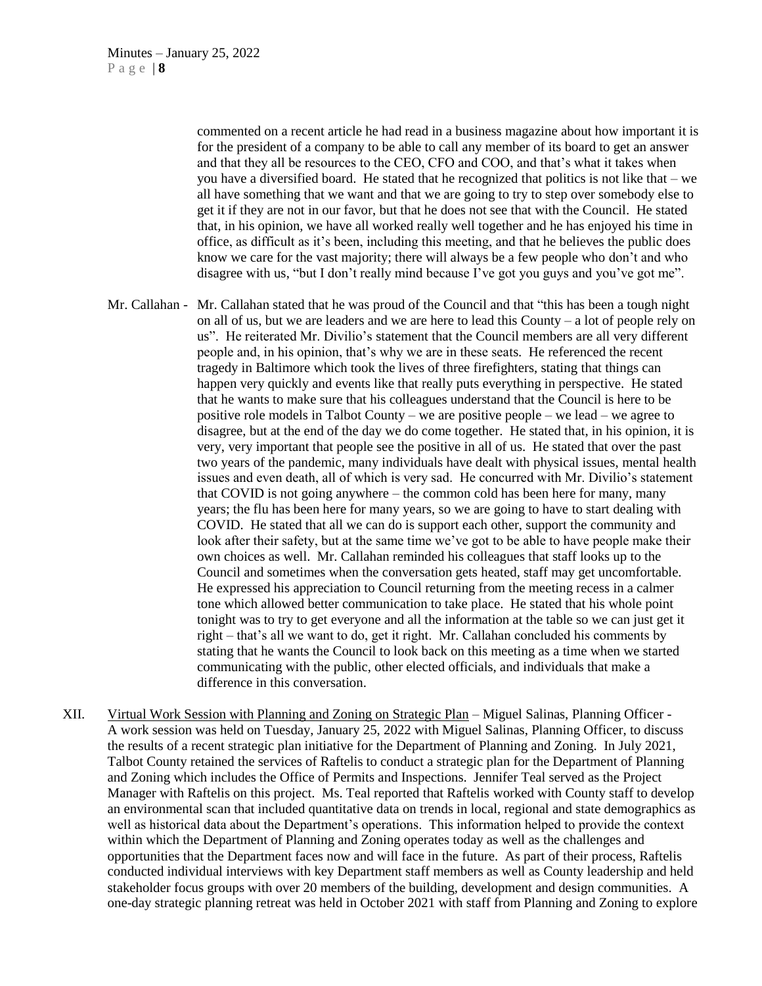commented on a recent article he had read in a business magazine about how important it is for the president of a company to be able to call any member of its board to get an answer and that they all be resources to the CEO, CFO and COO, and that's what it takes when you have a diversified board. He stated that he recognized that politics is not like that – we all have something that we want and that we are going to try to step over somebody else to get it if they are not in our favor, but that he does not see that with the Council. He stated that, in his opinion, we have all worked really well together and he has enjoyed his time in office, as difficult as it's been, including this meeting, and that he believes the public does know we care for the vast majority; there will always be a few people who don't and who disagree with us, "but I don't really mind because I've got you guys and you've got me".

- Mr. Callahan Mr. Callahan stated that he was proud of the Council and that "this has been a tough night on all of us, but we are leaders and we are here to lead this County – a lot of people rely on us". He reiterated Mr. Divilio's statement that the Council members are all very different people and, in his opinion, that's why we are in these seats. He referenced the recent tragedy in Baltimore which took the lives of three firefighters, stating that things can happen very quickly and events like that really puts everything in perspective. He stated that he wants to make sure that his colleagues understand that the Council is here to be positive role models in Talbot County – we are positive people – we lead – we agree to disagree, but at the end of the day we do come together. He stated that, in his opinion, it is very, very important that people see the positive in all of us. He stated that over the past two years of the pandemic, many individuals have dealt with physical issues, mental health issues and even death, all of which is very sad. He concurred with Mr. Divilio's statement that COVID is not going anywhere – the common cold has been here for many, many years; the flu has been here for many years, so we are going to have to start dealing with COVID. He stated that all we can do is support each other, support the community and look after their safety, but at the same time we've got to be able to have people make their own choices as well. Mr. Callahan reminded his colleagues that staff looks up to the Council and sometimes when the conversation gets heated, staff may get uncomfortable. He expressed his appreciation to Council returning from the meeting recess in a calmer tone which allowed better communication to take place. He stated that his whole point tonight was to try to get everyone and all the information at the table so we can just get it right – that's all we want to do, get it right. Mr. Callahan concluded his comments by stating that he wants the Council to look back on this meeting as a time when we started communicating with the public, other elected officials, and individuals that make a difference in this conversation.
- XII. Virtual Work Session with Planning and Zoning on Strategic Plan Miguel Salinas, Planning Officer A work session was held on Tuesday, January 25, 2022 with Miguel Salinas, Planning Officer, to discuss the results of a recent strategic plan initiative for the Department of Planning and Zoning. In July 2021, Talbot County retained the services of Raftelis to conduct a strategic plan for the Department of Planning and Zoning which includes the Office of Permits and Inspections. Jennifer Teal served as the Project Manager with Raftelis on this project. Ms. Teal reported that Raftelis worked with County staff to develop an environmental scan that included quantitative data on trends in local, regional and state demographics as well as historical data about the Department's operations. This information helped to provide the context within which the Department of Planning and Zoning operates today as well as the challenges and opportunities that the Department faces now and will face in the future. As part of their process, Raftelis conducted individual interviews with key Department staff members as well as County leadership and held stakeholder focus groups with over 20 members of the building, development and design communities. A one-day strategic planning retreat was held in October 2021 with staff from Planning and Zoning to explore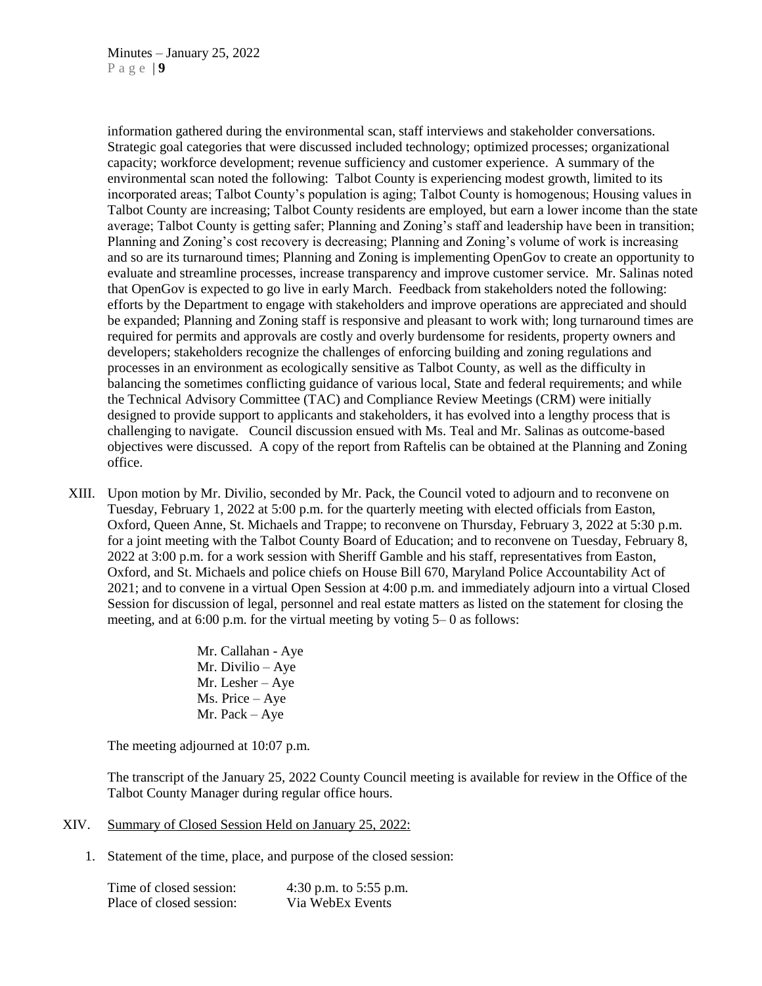information gathered during the environmental scan, staff interviews and stakeholder conversations. Strategic goal categories that were discussed included technology; optimized processes; organizational capacity; workforce development; revenue sufficiency and customer experience. A summary of the environmental scan noted the following: Talbot County is experiencing modest growth, limited to its incorporated areas; Talbot County's population is aging; Talbot County is homogenous; Housing values in Talbot County are increasing; Talbot County residents are employed, but earn a lower income than the state average; Talbot County is getting safer; Planning and Zoning's staff and leadership have been in transition; Planning and Zoning's cost recovery is decreasing; Planning and Zoning's volume of work is increasing and so are its turnaround times; Planning and Zoning is implementing OpenGov to create an opportunity to evaluate and streamline processes, increase transparency and improve customer service. Mr. Salinas noted that OpenGov is expected to go live in early March. Feedback from stakeholders noted the following: efforts by the Department to engage with stakeholders and improve operations are appreciated and should be expanded; Planning and Zoning staff is responsive and pleasant to work with; long turnaround times are required for permits and approvals are costly and overly burdensome for residents, property owners and developers; stakeholders recognize the challenges of enforcing building and zoning regulations and processes in an environment as ecologically sensitive as Talbot County, as well as the difficulty in balancing the sometimes conflicting guidance of various local, State and federal requirements; and while the Technical Advisory Committee (TAC) and Compliance Review Meetings (CRM) were initially designed to provide support to applicants and stakeholders, it has evolved into a lengthy process that is challenging to navigate. Council discussion ensued with Ms. Teal and Mr. Salinas as outcome-based objectives were discussed. A copy of the report from Raftelis can be obtained at the Planning and Zoning office.

XIII. Upon motion by Mr. Divilio, seconded by Mr. Pack, the Council voted to adjourn and to reconvene on Tuesday, February 1, 2022 at 5:00 p.m. for the quarterly meeting with elected officials from Easton, Oxford, Queen Anne, St. Michaels and Trappe; to reconvene on Thursday, February 3, 2022 at 5:30 p.m. for a joint meeting with the Talbot County Board of Education; and to reconvene on Tuesday, February 8, 2022 at 3:00 p.m. for a work session with Sheriff Gamble and his staff, representatives from Easton, Oxford, and St. Michaels and police chiefs on House Bill 670, Maryland Police Accountability Act of 2021; and to convene in a virtual Open Session at 4:00 p.m. and immediately adjourn into a virtual Closed Session for discussion of legal, personnel and real estate matters as listed on the statement for closing the meeting, and at 6:00 p.m. for the virtual meeting by voting 5– 0 as follows:

> Mr. Callahan - Aye Mr. Divilio – Aye Mr. Lesher – Aye Ms. Price – Aye Mr. Pack – Aye

The meeting adjourned at 10:07 p.m.

The transcript of the January 25, 2022 County Council meeting is available for review in the Office of the Talbot County Manager during regular office hours.

#### XIV. Summary of Closed Session Held on January 25, 2022:

1. Statement of the time, place, and purpose of the closed session:

| Time of closed session:  | 4:30 p.m. to 5:55 p.m. |
|--------------------------|------------------------|
| Place of closed session: | Via WebEx Events       |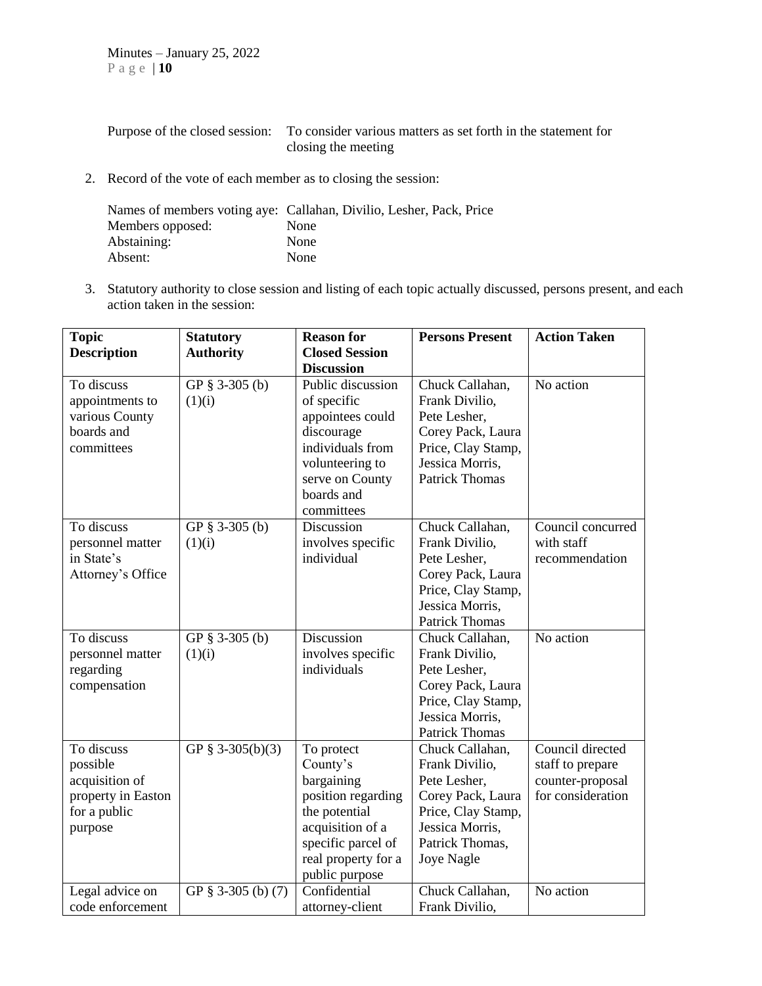| Purpose of the closed session: To consider various matters as set forth in the statement for |
|----------------------------------------------------------------------------------------------|
| closing the meeting                                                                          |

2. Record of the vote of each member as to closing the session:

|                  | Names of members voting aye: Callahan, Divilio, Lesher, Pack, Price |
|------------------|---------------------------------------------------------------------|
| Members opposed: | None                                                                |
| Abstaining:      | None                                                                |
| Absent:          | None                                                                |

3. Statutory authority to close session and listing of each topic actually discussed, persons present, and each action taken in the session:

| <b>Topic</b>                                                                              | <b>Statutory</b>         | <b>Reason for</b>                                                                                                                                              | <b>Persons Present</b>                                                                                                                           | <b>Action Taken</b>                                                           |
|-------------------------------------------------------------------------------------------|--------------------------|----------------------------------------------------------------------------------------------------------------------------------------------------------------|--------------------------------------------------------------------------------------------------------------------------------------------------|-------------------------------------------------------------------------------|
| <b>Description</b>                                                                        | <b>Authority</b>         | <b>Closed Session</b><br><b>Discussion</b>                                                                                                                     |                                                                                                                                                  |                                                                               |
| To discuss<br>appointments to<br>various County<br>boards and<br>committees               | GP § 3-305 (b)<br>(1)(i) | Public discussion<br>of specific<br>appointees could<br>discourage<br>individuals from<br>volunteering to<br>serve on County<br>boards and<br>committees       | Chuck Callahan,<br>Frank Divilio,<br>Pete Lesher,<br>Corey Pack, Laura<br>Price, Clay Stamp,<br>Jessica Morris,<br><b>Patrick Thomas</b>         | No action                                                                     |
| To discuss<br>personnel matter<br>in State's<br>Attorney's Office                         | GP § 3-305 (b)<br>(1)(i) | Discussion<br>involves specific<br>individual                                                                                                                  | Chuck Callahan,<br>Frank Divilio,<br>Pete Lesher,<br>Corey Pack, Laura<br>Price, Clay Stamp,<br>Jessica Morris,<br><b>Patrick Thomas</b>         | Council concurred<br>with staff<br>recommendation                             |
| To discuss<br>personnel matter<br>regarding<br>compensation                               | GP § 3-305 (b)<br>(1)(i) | Discussion<br>involves specific<br>individuals                                                                                                                 | Chuck Callahan,<br>Frank Divilio,<br>Pete Lesher,<br>Corey Pack, Laura<br>Price, Clay Stamp,<br>Jessica Morris,<br><b>Patrick Thomas</b>         | No action                                                                     |
| To discuss<br>possible<br>acquisition of<br>property in Easton<br>for a public<br>purpose | GP § 3-305(b)(3)         | To protect<br>County's<br>bargaining<br>position regarding<br>the potential<br>acquisition of a<br>specific parcel of<br>real property for a<br>public purpose | Chuck Callahan,<br>Frank Divilio,<br>Pete Lesher,<br>Corey Pack, Laura<br>Price, Clay Stamp,<br>Jessica Morris,<br>Patrick Thomas,<br>Joye Nagle | Council directed<br>staff to prepare<br>counter-proposal<br>for consideration |
| Legal advice on<br>code enforcement                                                       | GP § 3-305 (b) (7)       | Confidential<br>attorney-client                                                                                                                                | Chuck Callahan,<br>Frank Divilio,                                                                                                                | No action                                                                     |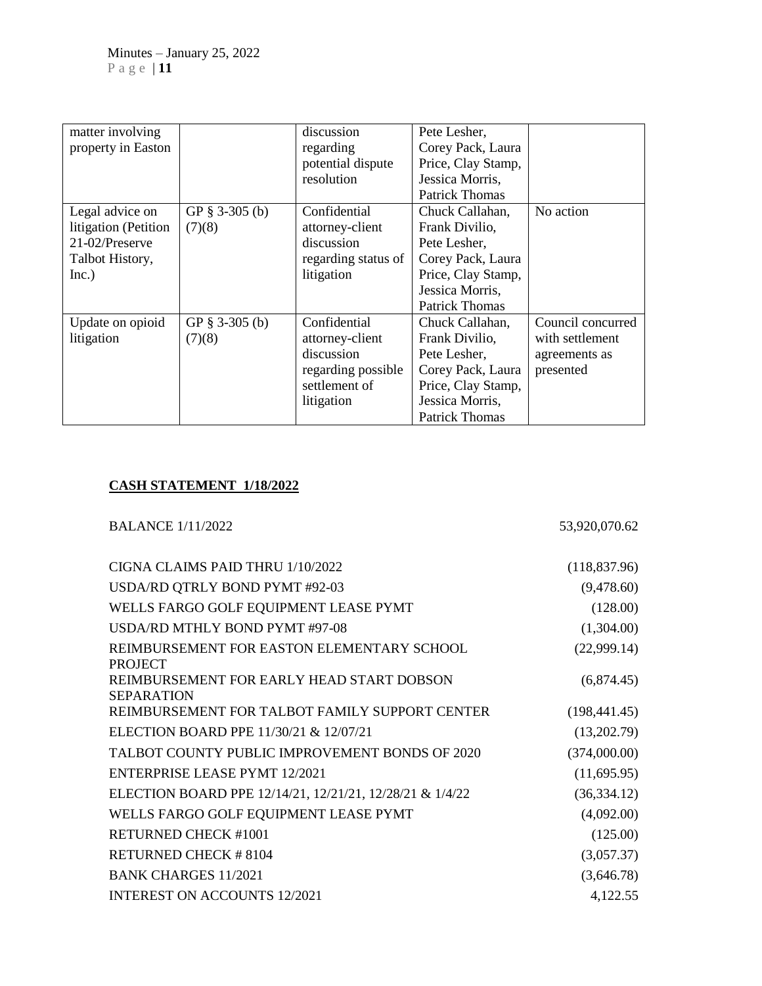| matter involving     |                   | discussion          | Pete Lesher,          |                   |
|----------------------|-------------------|---------------------|-----------------------|-------------------|
|                      |                   |                     |                       |                   |
| property in Easton   |                   | regarding           | Corey Pack, Laura     |                   |
|                      |                   | potential dispute   | Price, Clay Stamp,    |                   |
|                      |                   | resolution          | Jessica Morris,       |                   |
|                      |                   |                     | <b>Patrick Thomas</b> |                   |
| Legal advice on      | GP $\S$ 3-305 (b) | Confidential        | Chuck Callahan,       | No action         |
| litigation (Petition | (7)(8)            | attorney-client     | Frank Divilio,        |                   |
| 21-02/Preserve       |                   | discussion          | Pete Lesher,          |                   |
| Talbot History,      |                   | regarding status of | Corey Pack, Laura     |                   |
| Inc.)                |                   | litigation          | Price, Clay Stamp,    |                   |
|                      |                   |                     | Jessica Morris,       |                   |
|                      |                   |                     | <b>Patrick Thomas</b> |                   |
| Update on opioid     | GP $\S$ 3-305 (b) | Confidential        | Chuck Callahan,       | Council concurred |
| litigation           | (7)(8)            | attorney-client     | Frank Divilio,        | with settlement   |
|                      |                   | discussion          | Pete Lesher,          | agreements as     |
|                      |                   | regarding possible  | Corey Pack, Laura     | presented         |
|                      |                   | settlement of       | Price, Clay Stamp,    |                   |
|                      |                   | litigation          | Jessica Morris,       |                   |
|                      |                   |                     | <b>Patrick Thomas</b> |                   |

## **CASH STATEMENT 1/18/2022**

# BALANCE 1/11/2022 53,920,070.62

| CIGNA CLAIMS PAID THRU 1/10/2022                               | (118, 837.96) |
|----------------------------------------------------------------|---------------|
| USDA/RD QTRLY BOND PYMT #92-03                                 | (9,478.60)    |
| WELLS FARGO GOLF EQUIPMENT LEASE PYMT                          | (128.00)      |
| USDA/RD MTHLY BOND PYMT #97-08                                 | (1,304.00)    |
| REIMBURSEMENT FOR EASTON ELEMENTARY SCHOOL<br><b>PROJECT</b>   | (22,999.14)   |
| REIMBURSEMENT FOR EARLY HEAD START DOBSON<br><b>SEPARATION</b> | (6,874.45)    |
| REIMBURSEMENT FOR TALBOT FAMILY SUPPORT CENTER                 | (198, 441.45) |
| ELECTION BOARD PPE 11/30/21 & 12/07/21                         | (13,202.79)   |
| TALBOT COUNTY PUBLIC IMPROVEMENT BONDS OF 2020                 | (374,000.00)  |
| <b>ENTERPRISE LEASE PYMT 12/2021</b>                           | (11,695.95)   |
| ELECTION BOARD PPE 12/14/21, 12/21/21, 12/28/21 & 1/4/22       | (36, 334.12)  |
| WELLS FARGO GOLF EQUIPMENT LEASE PYMT                          | (4,092.00)    |
| <b>RETURNED CHECK #1001</b>                                    | (125.00)      |
| <b>RETURNED CHECK #8104</b>                                    | (3,057.37)    |
| <b>BANK CHARGES 11/2021</b>                                    | (3,646.78)    |
| <b>INTEREST ON ACCOUNTS 12/2021</b>                            | 4,122.55      |
|                                                                |               |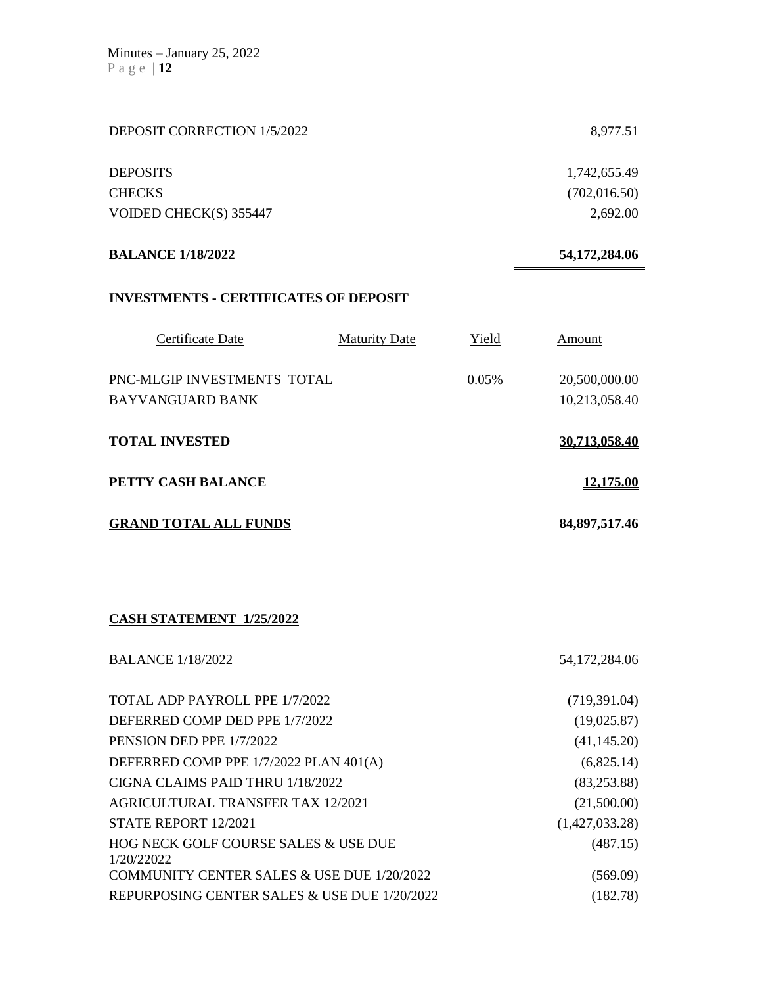| DEPOSIT CORRECTION 1/5/2022                  |                      |       | 8,977.51         |
|----------------------------------------------|----------------------|-------|------------------|
| <b>DEPOSITS</b>                              |                      |       | 1,742,655.49     |
| <b>CHECKS</b>                                |                      |       | (702, 016.50)    |
| VOIDED CHECK(S) 355447                       |                      |       | 2,692.00         |
| <b>BALANCE 1/18/2022</b>                     |                      |       | 54,172,284.06    |
| <b>INVESTMENTS - CERTIFICATES OF DEPOSIT</b> |                      |       |                  |
| Certificate Date                             | <b>Maturity Date</b> | Yield | Amount           |
| PNC-MLGIP INVESTMENTS TOTAL                  |                      | 0.05% | 20,500,000.00    |
| <b>BAYVANGUARD BANK</b>                      |                      |       | 10,213,058.40    |
| <b>TOTAL INVESTED</b>                        |                      |       | 30,713,058.40    |
| PETTY CASH BALANCE                           |                      |       | 12,175.00        |
| <b>GRAND TOTAL ALL FUNDS</b>                 |                      |       | 84, 897, 517. 46 |

## **CASH STATEMENT 1/25/2022**

| <b>BALANCE 1/18/2022</b>                           | 54, 172, 284. 06 |
|----------------------------------------------------|------------------|
| TOTAL ADP PAYROLL PPE 1/7/2022                     | (719,391.04)     |
| DEFERRED COMP DED PPE 1/7/2022                     | (19,025.87)      |
| PENSION DED PPE 1/7/2022                           | (41, 145.20)     |
| DEFERRED COMP PPE 1/7/2022 PLAN 401(A)             | (6,825.14)       |
| CIGNA CLAIMS PAID THRU 1/18/2022                   | (83, 253.88)     |
| <b>AGRICULTURAL TRANSFER TAX 12/2021</b>           | (21,500.00)      |
| STATE REPORT 12/2021                               | (1,427,033.28)   |
| HOG NECK GOLF COURSE SALES & USE DUE<br>1/20/22022 | (487.15)         |
| COMMUNITY CENTER SALES & USE DUE 1/20/2022         | (569.09)         |
| REPURPOSING CENTER SALES & USE DUE 1/20/2022       | (182.78)         |